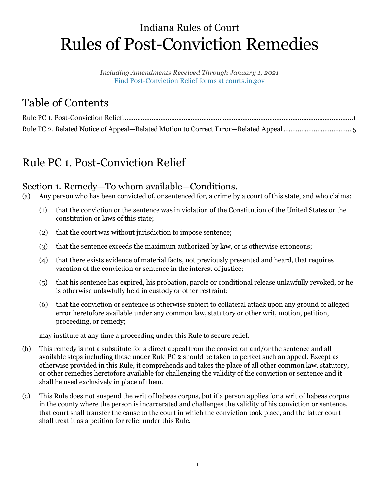# Indiana Rules of Court Rules of Post-Conviction Remedies

*Including Amendments Received Through January 1, 2021* [Find Post-Conviction Relief forms at courts.in.gov](https://www.in.gov/courts/publications/forms/post-conviction/)

# Table of Contents

[Rule PC 1. Post-Conviction Relief.................................................................................................................................1](#page-0-0) [Rule PC 2. Belated Notice of Appeal—Belated Motion to Correct Error—Belated Appeal......................................](#page-4-0) 5

# <span id="page-0-0"></span>Rule PC 1. Post-Conviction Relief

### Section 1. Remedy—To whom available—Conditions.

- (a) Any person who has been convicted of, or sentenced for, a crime by a court of this state, and who claims:
	- (1) that the conviction or the sentence was in violation of the Constitution of the United States or the constitution or laws of this state;
	- (2) that the court was without jurisdiction to impose sentence;
	- (3) that the sentence exceeds the maximum authorized by law, or is otherwise erroneous;
	- (4) that there exists evidence of material facts, not previously presented and heard, that requires vacation of the conviction or sentence in the interest of justice;
	- (5) that his sentence has expired, his probation, parole or conditional release unlawfully revoked, or he is otherwise unlawfully held in custody or other restraint;
	- (6) that the conviction or sentence is otherwise subject to collateral attack upon any ground of alleged error heretofore available under any common law, statutory or other writ, motion, petition, proceeding, or remedy;

may institute at any time a proceeding under this Rule to secure relief.

- (b) This remedy is not a substitute for a direct appeal from the conviction and/or the sentence and all available steps including those under Rule PC 2 should be taken to perfect such an appeal. Except as otherwise provided in this Rule, it comprehends and takes the place of all other common law, statutory, or other remedies heretofore available for challenging the validity of the conviction or sentence and it shall be used exclusively in place of them.
- (c) This Rule does not suspend the writ of habeas corpus, but if a person applies for a writ of habeas corpus in the county where the person is incarcerated and challenges the validity of his conviction or sentence, that court shall transfer the cause to the court in which the conviction took place, and the latter court shall treat it as a petition for relief under this Rule.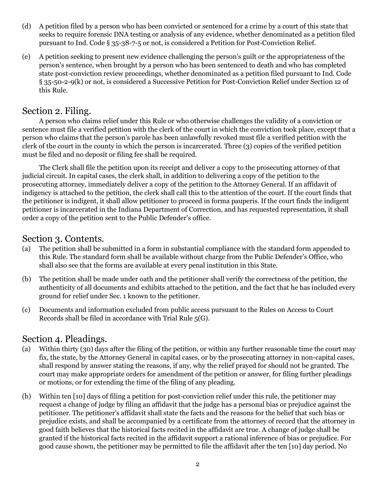- (d) A petition filed by a person who has been convicted or sentenced for a crime by a court of this state that seeks to require forensic DNA testing or analysis of any evidence, whether denominated as a petition filed pursuant to Ind. Code § 35-38-7-5 or not, is considered a Petition for Post-Conviction Relief.
- (e) A petition seeking to present new evidence challenging the person's guilt or the appropriateness of the person's sentence, when brought by a person who has been sentenced to death and who has completed state post-conviction review proceedings, whether denominated as a petition filed pursuant to Ind. Code § 35-50-2-9(k) or not, is considered a Successive Petition for Post-Conviction Relief under Section 12 of this Rule.

#### Section 2. Filing.

A person who claims relief under this Rule or who otherwise challenges the validity of a conviction or sentence must file a verified petition with the clerk of the court in which the conviction took place, except that a person who claims that the person's parole has been unlawfully revoked must file a verified petition with the clerk of the court in the county in which the person is incarcerated. Three (3) copies of the verified petition must be filed and no deposit or filing fee shall be required.

The Clerk shall file the petition upon its receipt and deliver a copy to the prosecuting attorney of that judicial circuit. In capital cases, the clerk shall, in addition to delivering a copy of the petition to the prosecuting attorney, immediately deliver a copy of the petition to the Attorney General. If an affidavit of indigency is attached to the petition, the clerk shall call this to the attention of the court. If the court finds that the petitioner is indigent, it shall allow petitioner to proceed in forma pauperis. If the court finds the indigent petitioner is incarcerated in the Indiana Department of Correction, and has requested representation, it shall order a copy of the petition sent to the Public Defender's office.

#### Section 3. Contents.

- (a) The petition shall be submitted in a form in substantial compliance with the standard form appended to this Rule. The standard form shall be available without charge from the Public Defender's Office, who shall also see that the forms are available at every penal institution in this State.
- (b) The petition shall be made under oath and the petitioner shall verify the correctness of the petition, the authenticity of all documents and exhibits attached to the petition, and the fact that he has included every ground for relief under Sec. 1 known to the petitioner.
- (c) Documents and information excluded from public access pursuant to the Rules on Access to Court Records shall be filed in accordance with Trial Rule 5(G).

#### Section 4. Pleadings.

- (a) Within thirty (30) days after the filing of the petition, or within any further reasonable time the court may fix, the state, by the Attorney General in capital cases, or by the prosecuting attorney in non-capital cases, shall respond by answer stating the reasons, if any, why the relief prayed for should not be granted. The court may make appropriate orders for amendment of the petition or answer, for filing further pleadings or motions, or for extending the time of the filing of any pleading.
- (b) Within ten [10] days of filing a petition for post-conviction relief under this rule, the petitioner may request a change of judge by filing an affidavit that the judge has a personal bias or prejudice against the petitioner. The petitioner's affidavit shall state the facts and the reasons for the belief that such bias or prejudice exists, and shall be accompanied by a certificate from the attorney of record that the attorney in good faith believes that the historical facts recited in the affidavit are true. A change of judge shall be granted if the historical facts recited in the affidavit support a rational inference of bias or prejudice. For good cause shown, the petitioner may be permitted to file the affidavit after the ten [10] day period. No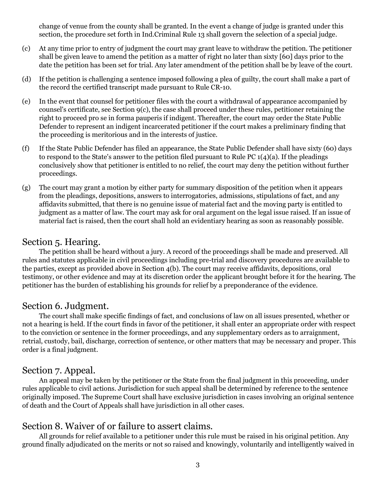change of venue from the county shall be granted. In the event a change of judge is granted under this section, the procedure set forth in Ind.Criminal Rule 13 shall govern the selection of a special judge.

- (c) At any time prior to entry of judgment the court may grant leave to withdraw the petition. The petitioner shall be given leave to amend the petition as a matter of right no later than sixty [60] days prior to the date the petition has been set for trial. Any later amendment of the petition shall be by leave of the court.
- (d) If the petition is challenging a sentence imposed following a plea of guilty, the court shall make a part of the record the certified transcript made pursuant to Rule CR-10.
- (e) In the event that counsel for petitioner files with the court a withdrawal of appearance accompanied by counsel's certificate, see Section 9(c), the case shall proceed under these rules, petitioner retaining the right to proceed pro se in forma pauperis if indigent. Thereafter, the court may order the State Public Defender to represent an indigent incarcerated petitioner if the court makes a preliminary finding that the proceeding is meritorious and in the interests of justice.
- (f) If the State Public Defender has filed an appearance, the State Public Defender shall have sixty (60) days to respond to the State's answer to the petition filed pursuant to Rule PC  $1(4)(a)$ . If the pleadings conclusively show that petitioner is entitled to no relief, the court may deny the petition without further proceedings.
- (g) The court may grant a motion by either party for summary disposition of the petition when it appears from the pleadings, depositions, answers to interrogatories, admissions, stipulations of fact, and any affidavits submitted, that there is no genuine issue of material fact and the moving party is entitled to judgment as a matter of law. The court may ask for oral argument on the legal issue raised. If an issue of material fact is raised, then the court shall hold an evidentiary hearing as soon as reasonably possible.

#### Section 5. Hearing.

The petition shall be heard without a jury. A record of the proceedings shall be made and preserved. All rules and statutes applicable in civil proceedings including pre-trial and discovery procedures are available to the parties, except as provided above in Section 4(b). The court may receive affidavits, depositions, oral testimony, or other evidence and may at its discretion order the applicant brought before it for the hearing. The petitioner has the burden of establishing his grounds for relief by a preponderance of the evidence.

#### Section 6. Judgment.

The court shall make specific findings of fact, and conclusions of law on all issues presented, whether or not a hearing is held. If the court finds in favor of the petitioner, it shall enter an appropriate order with respect to the conviction or sentence in the former proceedings, and any supplementary orders as to arraignment, retrial, custody, bail, discharge, correction of sentence, or other matters that may be necessary and proper. This order is a final judgment.

#### Section 7. Appeal.

An appeal may be taken by the petitioner or the State from the final judgment in this proceeding, under rules applicable to civil actions. Jurisdiction for such appeal shall be determined by reference to the sentence originally imposed. The Supreme Court shall have exclusive jurisdiction in cases involving an original sentence of death and the Court of Appeals shall have jurisdiction in all other cases.

#### Section 8. Waiver of or failure to assert claims.

All grounds for relief available to a petitioner under this rule must be raised in his original petition. Any ground finally adjudicated on the merits or not so raised and knowingly, voluntarily and intelligently waived in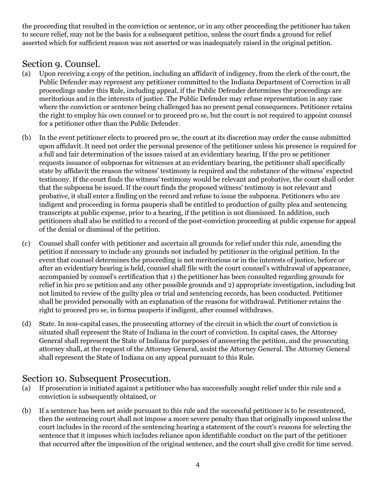the proceeding that resulted in the conviction or sentence, or in any other proceeding the petitioner has taken to secure relief, may not be the basis for a subsequent petition, unless the court finds a ground for relief asserted which for sufficient reason was not asserted or was inadequately raised in the original petition.

# Section 9. Counsel.

- (a) Upon receiving a copy of the petition, including an affidavit of indigency, from the clerk of the court, the Public Defender may represent any petitioner committed to the Indiana Department of Correction in all proceedings under this Rule, including appeal, if the Public Defender determines the proceedings are meritorious and in the interests of justice. The Public Defender may refuse representation in any case where the conviction or sentence being challenged has no present penal consequences. Petitioner retains the right to employ his own counsel or to proceed pro se, but the court is not required to appoint counsel for a petitioner other than the Public Defender.
- (b) In the event petitioner elects to proceed pro se, the court at its discretion may order the cause submitted upon affidavit. It need not order the personal presence of the petitioner unless his presence is required for a full and fair determination of the issues raised at an evidentiary hearing. If the pro se petitioner requests issuance of subpoenas for witnesses at an evidentiary hearing, the petitioner shall specifically state by affidavit the reason the witness' testimony is required and the substance of the witness' expected testimony. If the court finds the witness' testimony would be relevant and probative, the court shall order that the subpoena be issued. If the court finds the proposed witness' testimony is not relevant and probative, it shall enter a finding on the record and refuse to issue the subpoena. Petitioners who are indigent and proceeding in forma pauperis shall be entitled to production of guilty plea and sentencing transcripts at public expense, prior to a hearing, if the petition is not dismissed. In addition, such petitioners shall also be entitled to a record of the post-conviction proceeding at public expense for appeal of the denial or dismissal of the petition.
- (c) Counsel shall confer with petitioner and ascertain all grounds for relief under this rule, amending the petition if necessary to include any grounds not included by petitioner in the original petition. In the event that counsel determines the proceeding is not meritorious or in the interests of justice, before or after an evidentiary hearing is held, counsel shall file with the court counsel's withdrawal of appearance, accompanied by counsel's certification that 1) the petitioner has been consulted regarding grounds for relief in his pro se petition and any other possible grounds and 2) appropriate investigation, including but not limited to review of the guilty plea or trial and sentencing records, has been conducted. Petitioner shall be provided personally with an explanation of the reasons for withdrawal. Petitioner retains the right to proceed pro se, in forma pauperis if indigent, after counsel withdraws.
- (d) State. In non-capital cases, the prosecuting attorney of the circuit in which the court of conviction is situated shall represent the State of Indiana in the court of conviction. In capital cases, the Attorney General shall represent the State of Indiana for purposes of answering the petition, and the prosecuting attorney shall, at the request of the Attorney General, assist the Attorney General. The Attorney General shall represent the State of Indiana on any appeal pursuant to this Rule.

### Section 10. Subsequent Prosecution.

- (a) If prosecution is initiated against a petitioner who has successfully sought relief under this rule and a conviction is subsequently obtained, or
- (b) If a sentence has been set aside pursuant to this rule and the successful petitioner is to be resentenced, then the sentencing court shall not impose a more severe penalty than that originally imposed unless the court includes in the record of the sentencing hearing a statement of the court's reasons for selecting the sentence that it imposes which includes reliance upon identifiable conduct on the part of the petitioner that occurred after the imposition of the original sentence, and the court shall give credit for time served.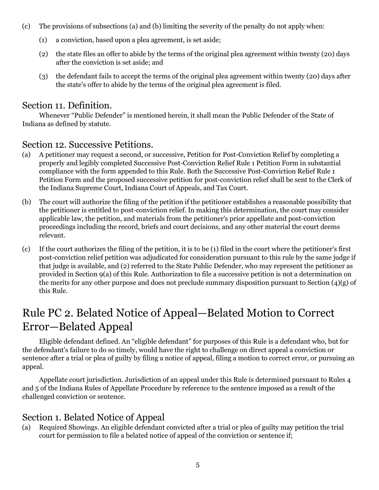- (c) The provisions of subsections (a) and (b) limiting the severity of the penalty do not apply when:
	- (1) a conviction, based upon a plea agreement, is set aside;
	- (2) the state files an offer to abide by the terms of the original plea agreement within twenty (20) days after the conviction is set aside; and
	- (3) the defendant fails to accept the terms of the original plea agreement within twenty (20) days after the state's offer to abide by the terms of the original plea agreement is filed.

#### Section 11. Definition.

Whenever "Public Defender" is mentioned herein, it shall mean the Public Defender of the State of Indiana as defined by statute.

#### Section 12. Successive Petitions.

- (a) A petitioner may request a second, or successive, Petition for Post-Conviction Relief by completing a properly and legibly completed Successive Post-Conviction Relief Rule 1 Petition Form in substantial compliance with the form appended to this Rule. Both the Successive Post-Conviction Relief Rule 1 Petition Form and the proposed successive petition for post-conviction relief shall be sent to the Clerk of the Indiana Supreme Court, Indiana Court of Appeals, and Tax Court.
- (b) The court will authorize the filing of the petition if the petitioner establishes a reasonable possibility that the petitioner is entitled to post-conviction relief. In making this determination, the court may consider applicable law, the petition, and materials from the petitioner's prior appellate and post-conviction proceedings including the record, briefs and court decisions, and any other material the court deems relevant.
- (c) If the court authorizes the filing of the petition, it is to be (1) filed in the court where the petitioner's first post-conviction relief petition was adjudicated for consideration pursuant to this rule by the same judge if that judge is available, and (2) referred to the State Public Defender, who may represent the petitioner as provided in Section 9(a) of this Rule. Authorization to file a successive petition is not a determination on the merits for any other purpose and does not preclude summary disposition pursuant to Section (4)(g) of this Rule.

# <span id="page-4-0"></span>Rule PC 2. Belated Notice of Appeal—Belated Motion to Correct Error—Belated Appeal

Eligible defendant defined. An "eligible defendant" for purposes of this Rule is a defendant who, but for the defendant's failure to do so timely, would have the right to challenge on direct appeal a conviction or sentence after a trial or plea of guilty by filing a notice of appeal, filing a motion to correct error, or pursuing an appeal.

Appellate court jurisdiction. Jurisdiction of an appeal under this Rule is determined pursuant to Rules 4 and 5 of the Indiana Rules of Appellate Procedure by reference to the sentence imposed as a result of the challenged conviction or sentence.

#### Section 1. Belated Notice of Appeal

(a) Required Showings. An eligible defendant convicted after a trial or plea of guilty may petition the trial court for permission to file a belated notice of appeal of the conviction or sentence if;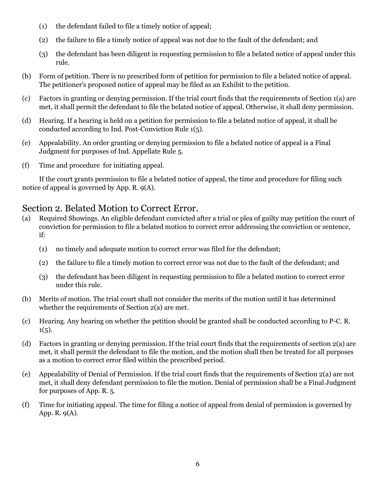- (1) the defendant failed to file a timely notice of appeal;
- (2) the failure to file a timely notice of appeal was not due to the fault of the defendant; and
- (3) the defendant has been diligent in requesting permission to file a belated notice of appeal under this rule.
- (b) Form of petition. There is no prescribed form of petition for permission to file a belated notice of appeal. The petitioner's proposed notice of appeal may be filed as an Exhibit to the petition.
- (c) Factors in granting or denying permission. If the trial court finds that the requirements of Section 1(a) are met, it shall permit the defendant to file the belated notice of appeal. Otherwise, it shall deny permission.
- (d) Hearing. If a hearing is held on a petition for permission to file a belated notice of appeal, it shall be conducted according to Ind. Post-Conviction Rule 1(5).
- (e) Appealability. An order granting or denying permission to file a belated notice of appeal is a Final Judgment for purposes of Ind. Appellate Rule 5.
- (f) Time and procedure for initiating appeal.

If the court grants permission to file a belated notice of appeal, the time and procedure for filing such notice of appeal is governed by App. R. 9(A).

### Section 2. Belated Motion to Correct Error.

- (a) Required Showings. An eligible defendant convicted after a trial or plea of guilty may petition the court of conviction for permission to file a belated motion to correct error addressing the conviction or sentence, if:
	- (1) no timely and adequate motion to correct error was filed for the defendant;
	- (2) the failure to file a timely motion to correct error was not due to the fault of the defendant; and
	- (3) the defendant has been diligent in requesting permission to file a belated motion to correct error under this rule.
- (b) Merits of motion. The trial court shall not consider the merits of the motion until it has determined whether the requirements of Section 2(a) are met.
- (c) Hearing. Any hearing on whether the petition should be granted shall be conducted according to P-C. R.  $1(5)$ .
- (d) Factors in granting or denying permission. If the trial court finds that the requirements of section 2(a) are met, it shall permit the defendant to file the motion, and the motion shall then be treated for all purposes as a motion to correct error filed within the prescribed period.
- (e) Appealability of Denial of Permission. If the trial court finds that the requirements of Section 2(a) are not met, it shall deny defendant permission to file the motion. Denial of permission shall be a Final Judgment for purposes of App. R. 5.
- (f) Time for initiating appeal. The time for filing a notice of appeal from denial of permission is governed by App. R. 9(A).